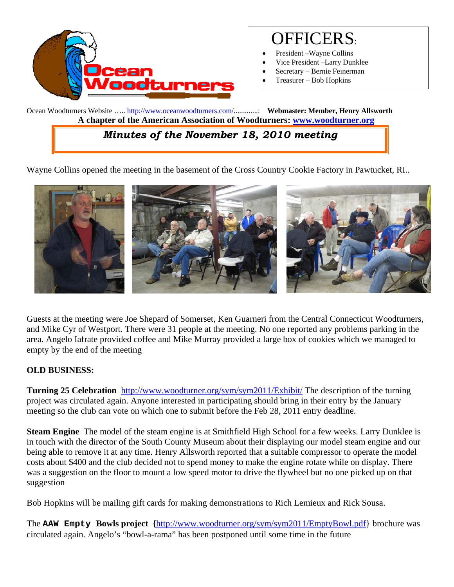

# OFFICERS:

- President –Wayne Collins
- Vice President –Larry Dunklee
- Secretary Bernie Feinerman
- Treasurer Bob Hopkins

Ocean Woodturners Website ….. http://www.oceanwoodturners.com/.............: **Webmaster: Member, Henry Allsworth A chapter of the American Association of Woodturners: www.woodturner.org** 

## *Minutes of the November 18, 2010 meeting*

Wayne Collins opened the meeting in the basement of the Cross Country Cookie Factory in Pawtucket, RI..



Guests at the meeting were Joe Shepard of Somerset, Ken Guarneri from the Central Connecticut Woodturners, and Mike Cyr of Westport. There were 31 people at the meeting. No one reported any problems parking in the area. Angelo Iafrate provided coffee and Mike Murray provided a large box of cookies which we managed to empty by the end of the meeting

#### **OLD BUSINESS:**

**Turning 25 Celebration** http://www.woodturner.org/sym/sym2011/Exhibit/ The description of the turning project was circulated again. Anyone interested in participating should bring in their entry by the January meeting so the club can vote on which one to submit before the Feb 28, 2011 entry deadline.

**Steam Engine** The model of the steam engine is at Smithfield High School for a few weeks. Larry Dunklee is in touch with the director of the South County Museum about their displaying our model steam engine and our being able to remove it at any time. Henry Allsworth reported that a suitable compressor to operate the model costs about \$400 and the club decided not to spend money to make the engine rotate while on display. There was a suggestion on the floor to mount a low speed motor to drive the flywheel but no one picked up on that suggestion

Bob Hopkins will be mailing gift cards for making demonstrations to Rich Lemieux and Rick Sousa.

The **AAW Empty Bowls project {**http://www.woodturner.org/sym/sym2011/EmptyBowl.pdf} brochure was circulated again. Angelo's "bowl-a-rama" has been postponed until some time in the future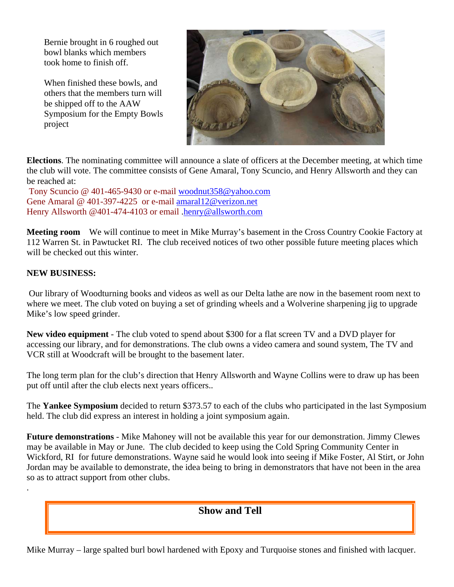Bernie brought in 6 roughed out bowl blanks which members took home to finish off.

When finished these bowls, and others that the members turn will be shipped off to the AAW Symposium for the Empty Bowls project



**Elections**. The nominating committee will announce a slate of officers at the December meeting, at which time the club will vote. The committee consists of Gene Amaral, Tony Scuncio, and Henry Allsworth and they can be reached at:

 Tony Scuncio @ 401-465-9430 or e-mail woodnut358@yahoo.com Gene Amaral @ 401-397-4225 or e-mail amaral12@verizon.net Henry Allsworth @401-474-4103 or email .henry@allsworth.com

**Meeting room** We will continue to meet in Mike Murray's basement in the Cross Country Cookie Factory at 112 Warren St. in Pawtucket RI. The club received notices of two other possible future meeting places which will be checked out this winter.

#### **NEW BUSINESS:**

.

 Our library of Woodturning books and videos as well as our Delta lathe are now in the basement room next to where we meet. The club voted on buying a set of grinding wheels and a Wolverine sharpening jig to upgrade Mike's low speed grinder.

**New video equipment** - The club voted to spend about \$300 for a flat screen TV and a DVD player for accessing our library, and for demonstrations. The club owns a video camera and sound system, The TV and VCR still at Woodcraft will be brought to the basement later.

The long term plan for the club's direction that Henry Allsworth and Wayne Collins were to draw up has been put off until after the club elects next years officers..

The **Yankee Symposium** decided to return \$373.57 to each of the clubs who participated in the last Symposium held. The club did express an interest in holding a joint symposium again.

**Future demonstrations** - Mike Mahoney will not be available this year for our demonstration. Jimmy Clewes may be available in May or June. The club decided to keep using the Cold Spring Community Center in Wickford, RI for future demonstrations. Wayne said he would look into seeing if Mike Foster, Al Stirt, or John Jordan may be available to demonstrate, the idea being to bring in demonstrators that have not been in the area so as to attract support from other clubs.

### **Show and Tell**

Mike Murray – large spalted burl bowl hardened with Epoxy and Turquoise stones and finished with lacquer.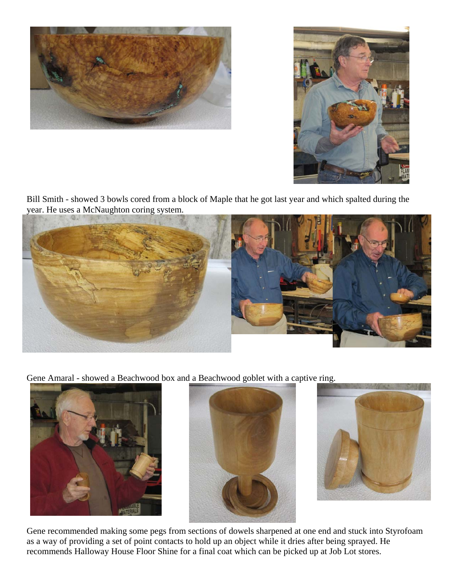



Bill Smith - showed 3 bowls cored from a block of Maple that he got last year and which spalted during the year. He uses a McNaughton coring system.



Gene Amaral - showed a Beachwood box and a Beachwood goblet with a captive ring.







Gene recommended making some pegs from sections of dowels sharpened at one end and stuck into Styrofoam as a way of providing a set of point contacts to hold up an object while it dries after being sprayed. He recommends Halloway House Floor Shine for a final coat which can be picked up at Job Lot stores.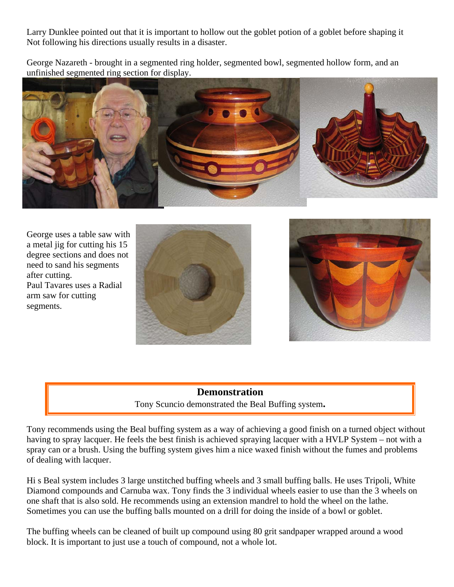Larry Dunklee pointed out that it is important to hollow out the goblet potion of a goblet before shaping it Not following his directions usually results in a disaster.

George Nazareth - brought in a segmented ring holder, segmented bowl, segmented hollow form, and an unfinished segmented ring section for display.



George uses a table saw with a metal jig for cutting his 15 degree sections and does not need to sand his segments after cutting. Paul Tavares uses a Radial arm saw for cutting segments.





# **Demonstration**  Tony Scuncio demonstrated the Beal Buffing system**.**

Tony recommends using the Beal buffing system as a way of achieving a good finish on a turned object without having to spray lacquer. He feels the best finish is achieved spraying lacquer with a HVLP System – not with a spray can or a brush. Using the buffing system gives him a nice waxed finish without the fumes and problems of dealing with lacquer.

Hi s Beal system includes 3 large unstitched buffing wheels and 3 small buffing balls. He uses Tripoli, White Diamond compounds and Carnuba wax. Tony finds the 3 individual wheels easier to use than the 3 wheels on one shaft that is also sold. He recommends using an extension mandrel to hold the wheel on the lathe. Sometimes you can use the buffing balls mounted on a drill for doing the inside of a bowl or goblet.

The buffing wheels can be cleaned of built up compound using 80 grit sandpaper wrapped around a wood block. It is important to just use a touch of compound, not a whole lot.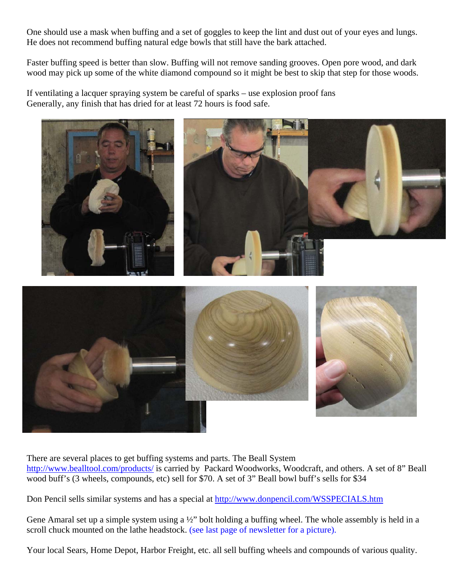One should use a mask when buffing and a set of goggles to keep the lint and dust out of your eyes and lungs. He does not recommend buffing natural edge bowls that still have the bark attached.

Faster buffing speed is better than slow. Buffing will not remove sanding grooves. Open pore wood, and dark wood may pick up some of the white diamond compound so it might be best to skip that step for those woods.

If ventilating a lacquer spraying system be careful of sparks – use explosion proof fans Generally, any finish that has dried for at least 72 hours is food safe.



There are several places to get buffing systems and parts. The Beall System http://www.bealltool.com/products/ is carried by Packard Woodworks, Woodcraft, and others. A set of 8" Beall wood buff's (3 wheels, compounds, etc) sell for \$70. A set of 3" Beall bowl buff's sells for \$34

Don Pencil sells similar systems and has a special at http://www.donpencil.com/WSSPECIALS.htm

Gene Amaral set up a simple system using a ½" bolt holding a buffing wheel. The whole assembly is held in a scroll chuck mounted on the lathe headstock. (see last page of newsletter for a picture).

Your local Sears, Home Depot, Harbor Freight, etc. all sell buffing wheels and compounds of various quality.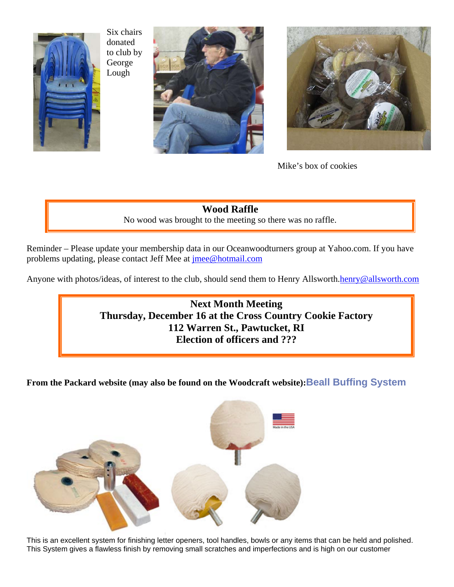

Six chairs donated to club by George Lough





Mike's box of cookies

**Wood Raffle**  No wood was brought to the meeting so there was no raffle.

Reminder – Please update your membership data in our Oceanwoodturners group at Yahoo.com. If you have problems updating, please contact Jeff Mee at jmee@hotmail.com

Anyone with photos/ideas, of interest to the club, should send them to Henry Allsworth.henry@allsworth.com

**Next Month Meeting Thursday, December 16 at the Cross Country Cookie Factory 112 Warren St., Pawtucket, RI Election of officers and ???** 

**From the Packard website (may also be found on the Woodcraft website):Beall Buffing System** 



This is an excellent system for finishing letter openers, tool handles, bowls or any items that can be held and polished. This System gives a flawless finish by removing small scratches and imperfections and is high on our customer